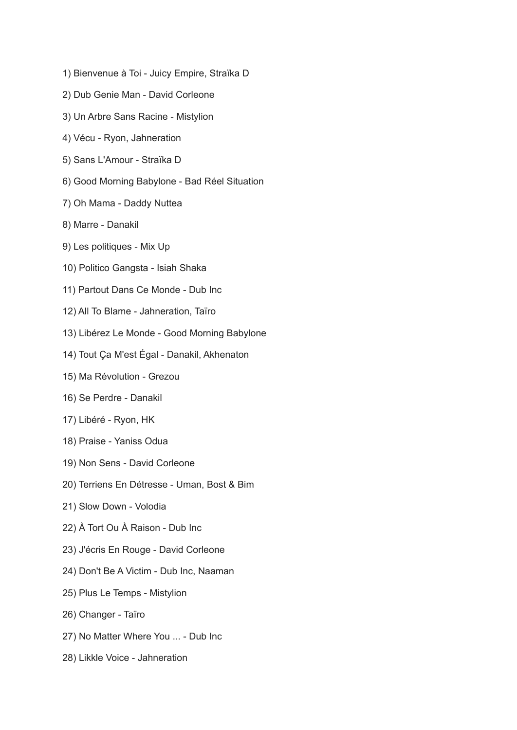- 1) Bienvenue à Toi Juicy Empire, Straïka D
- 2) Dub Genie Man David Corleone
- 3) Un Arbre Sans Racine Mistylion
- 4) Vécu Ryon, Jahneration
- 5) Sans L'Amour Straïka D
- 6) Good Morning Babylone Bad Réel Situation
- 7) Oh Mama Daddy Nuttea
- 8) Marre Danakil
- 9) Les politiques Mix Up
- 10) Politico Gangsta Isiah Shaka
- 11) Partout Dans Ce Monde Dub Inc
- 12) All To Blame Jahneration, Taïro
- 13) Libérez Le Monde Good Morning Babylone
- 14) Tout Ça M'est Égal Danakil, Akhenaton
- 15) Ma Révolution Grezou
- 16) Se Perdre Danakil
- 17) Libéré Ryon, HK
- 18) Praise Yaniss Odua
- 19) Non Sens David Corleone
- 20) Terriens En Détresse Uman, Bost & Bim
- 21) Slow Down Volodia
- 22) À Tort Ou À Raison Dub Inc
- 23) J'écris En Rouge David Corleone
- 24) Don't Be A Victim Dub Inc, Naaman
- 25) Plus Le Temps Mistylion
- 26) Changer Taïro
- 27) No Matter Where You ... Dub Inc
- 28) Likkle Voice Jahneration